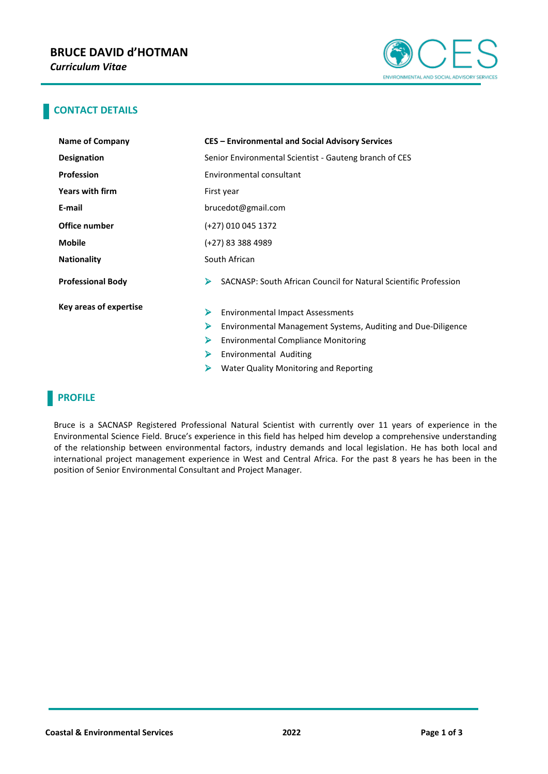

### **CONTACT DETAILS**

| <b>Name of Company</b>   | <b>CES - Environmental and Social Advisory Services</b>               |
|--------------------------|-----------------------------------------------------------------------|
| <b>Designation</b>       | Senior Environmental Scientist - Gauteng branch of CES                |
| <b>Profession</b>        | Environmental consultant                                              |
| Years with firm          | First year                                                            |
| E-mail                   | brucedot@gmail.com                                                    |
| Office number            | (+27) 010 045 1372                                                    |
| <b>Mobile</b>            | (+27) 83 388 4989                                                     |
| <b>Nationality</b>       | South African                                                         |
| <b>Professional Body</b> | SACNASP: South African Council for Natural Scientific Profession<br>⋗ |
| Key areas of expertise   | ➤<br><b>Environmental Impact Assessments</b>                          |
|                          | ⋗<br>Environmental Management Systems, Auditing and Due-Diligence     |
|                          | <b>Environmental Compliance Monitoring</b><br>⋗                       |
|                          | ➤<br><b>Environmental Auditing</b>                                    |
|                          | Water Quality Monitoring and Reporting<br>⋗                           |

## **PROFILE**

Bruce is a SACNASP Registered Professional Natural Scientist with currently over 11 years of experience in the Environmental Science Field. Bruce's experience in this field has helped him develop a comprehensive understanding of the relationship between environmental factors, industry demands and local legislation. He has both local and international project management experience in West and Central Africa. For the past 8 years he has been in the position of Senior Environmental Consultant and Project Manager.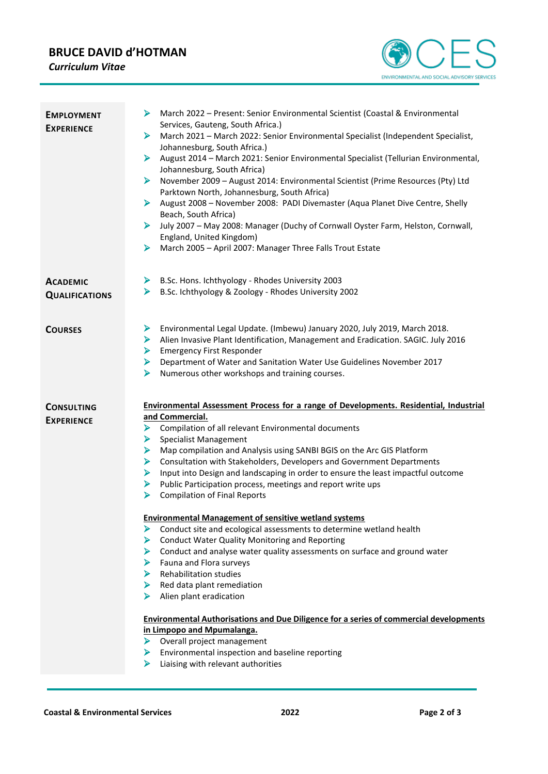# **BRUCE DAVID d'HOTMAN**

*Curriculum Vitae*



| <b>EMPLOYMENT</b><br><b>EXPERIENCE</b>   | March 2022 - Present: Senior Environmental Scientist (Coastal & Environmental<br>⋗<br>Services, Gauteng, South Africa.)<br>March 2021 - March 2022: Senior Environmental Specialist (Independent Specialist,<br>➤<br>Johannesburg, South Africa.)<br>August 2014 - March 2021: Senior Environmental Specialist (Tellurian Environmental,<br>➤<br>Johannesburg, South Africa)<br>November 2009 - August 2014: Environmental Scientist (Prime Resources (Pty) Ltd<br>➤<br>Parktown North, Johannesburg, South Africa)<br>August 2008 - November 2008: PADI Divemaster (Aqua Planet Dive Centre, Shelly<br>➤<br>Beach, South Africa)<br>July 2007 - May 2008: Manager (Duchy of Cornwall Oyster Farm, Helston, Cornwall,<br>➤<br>England, United Kingdom)<br>March 2005 - April 2007: Manager Three Falls Trout Estate<br>➤                                                                                                                                                                                                                                                                                                                                                                                                                                                                   |
|------------------------------------------|--------------------------------------------------------------------------------------------------------------------------------------------------------------------------------------------------------------------------------------------------------------------------------------------------------------------------------------------------------------------------------------------------------------------------------------------------------------------------------------------------------------------------------------------------------------------------------------------------------------------------------------------------------------------------------------------------------------------------------------------------------------------------------------------------------------------------------------------------------------------------------------------------------------------------------------------------------------------------------------------------------------------------------------------------------------------------------------------------------------------------------------------------------------------------------------------------------------------------------------------------------------------------------------------|
| <b>ACADEMIC</b><br><b>QUALIFICATIONS</b> | B.Sc. Hons. Ichthyology - Rhodes University 2003<br>➤<br>➤<br>B.Sc. Ichthyology & Zoology - Rhodes University 2002                                                                                                                                                                                                                                                                                                                                                                                                                                                                                                                                                                                                                                                                                                                                                                                                                                                                                                                                                                                                                                                                                                                                                                         |
| <b>COURSES</b>                           | Environmental Legal Update. (Imbewu) January 2020, July 2019, March 2018.<br>➤<br>Alien Invasive Plant Identification, Management and Eradication. SAGIC. July 2016<br>➤<br><b>Emergency First Responder</b><br>➤<br>Department of Water and Sanitation Water Use Guidelines November 2017<br>➤<br>Numerous other workshops and training courses.<br>➤                                                                                                                                                                                                                                                                                                                                                                                                                                                                                                                                                                                                                                                                                                                                                                                                                                                                                                                                     |
| <b>CONSULTING</b><br><b>EXPERIENCE</b>   | <b>Environmental Assessment Process for a range of Developments. Residential, Industrial</b><br>and Commercial.<br>Compilation of all relevant Environmental documents<br>⋗<br>Specialist Management<br>➤<br>Map compilation and Analysis using SANBI BGIS on the Arc GIS Platform<br>➤<br>Consultation with Stakeholders, Developers and Government Departments<br>➤<br>Input into Design and landscaping in order to ensure the least impactful outcome<br>➤<br>Public Participation process, meetings and report write ups<br>⋗<br><b>Compilation of Final Reports</b><br>⋗<br><b>Environmental Management of sensitive wetland systems</b><br>Conduct site and ecological assessments to determine wetland health<br>⋗<br><b>Conduct Water Quality Monitoring and Reporting</b><br>➤<br>Conduct and analyse water quality assessments on surface and ground water<br>≻<br>➤<br>Fauna and Flora surveys<br>$\triangleright$ Rehabilitation studies<br>Red data plant remediation<br>➤<br>Alien plant eradication<br>➤<br><b>Environmental Authorisations and Due Diligence for a series of commercial developments</b><br>in Limpopo and Mpumalanga.<br>> Overall project management<br>Environmental inspection and baseline reporting<br>➤<br>Liaising with relevant authorities<br>⋗ |